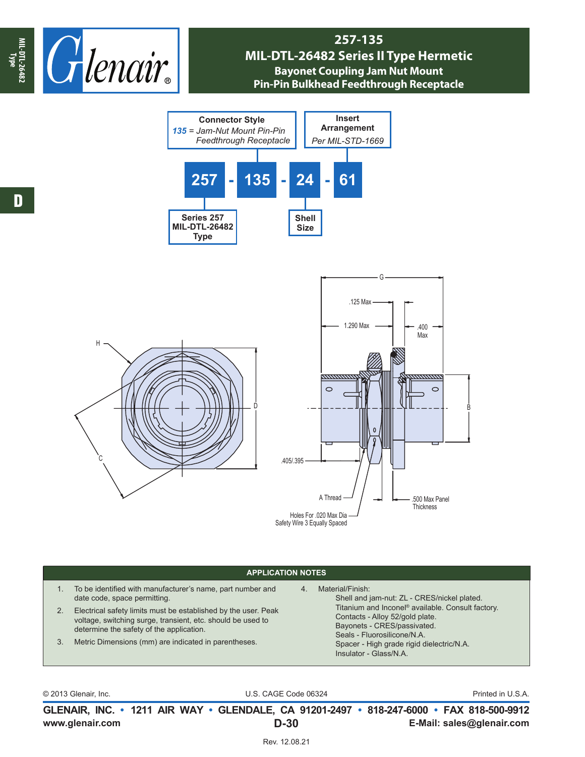

## **257-135 MIL-DTL-26482 Series II Type Hermetic Bayonet Coupling Jam Nut Mount Pin-Pin Bulkhead Feedthrough Receptacle**







## **APPLICATION NOTES**

- 1. To be identified with manufacturer's name, part number and date code, space permitting.
- 2. Electrical safety limits must be established by the user. Peak voltage, switching surge, transient, etc. should be used to determine the safety of the application.
- 3. Metric Dimensions (mm) are indicated in parentheses.
- 4. Material/Finish:

Shell and jam-nut: ZL - CRES/nickel plated. Titanium and Inconel® available. Consult factory. Contacts - Alloy 52/gold plate. Bayonets - CRES/passivated. Seals - Fluorosilicone/N.A. Spacer - High grade rigid dielectric/N.A. Insulator - Glass/N.A.

|  | © 2013 Glenair, Inc. |  |
|--|----------------------|--|
|--|----------------------|--|

U.S. CAGE Code 06324 Printed in U.S.A.

**www.glenair.com E-Mail: sales@glenair.com GLENAIR, INC. • 1211 AIR WAY • GLENDALE, CA 91201-2497 • 818-247-6000 • FAX 818-500-9912 D-30**

Rev. 12.08.21